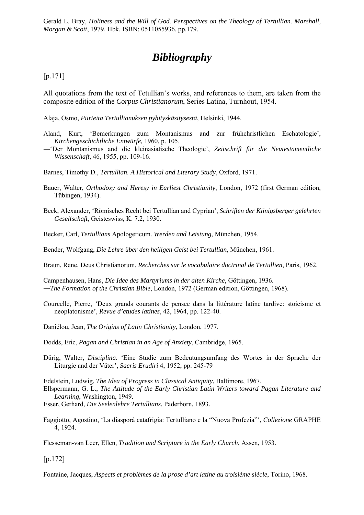Gerald L. Bray, *Holiness and the Will of God. Perspectives on the Theology of Tertullian. Marshall, Morgan & Scott*, 1979. Hbk. ISBN: 0511055936. pp.179.

## *Bibliography*

## [p.171]

All quotations from the text of Tetullian's works, and references to them, are taken from the composite edition of the *Corpus Christianorum*, Series Latina, Turnhout, 1954.

Alaja, Osmo, *Piirteita Tertullianuksen pyhityskäsitysestä*, Helsinki, 1944.

- Aland, Kurt, 'Bemerkungen zum Montanismus and zur frühchristlichen Eschatologie', *Kirchengeschichtliche Entwürfe,* 1960, p. 105.
- ―'Der Montanismus and die kleinasiatische Theologie', *Zeitschrift für die Neutestamentliche Wissenschaft*, 46, 1955, pp. 109-16.
- Barnes, Timothy D., *Tertullian. A Historical and Literary Study*, Oxford, 1971.
- Bauer, Walter, *Orthodoxy and Heresy in Earliest Christianity*, London, 1972 (first German edition, Tübingen, 1934).
- Beck, Alexander, 'Römisches Recht bei Tertullian and Cyprian', *Schriften der Kiinigsberger gelehrten Gesellschaft*, Geisteswiss, K. 7.2, 1930.
- Becker, Carl, *Tertullians* Apologeticum. *Werden and Leistung*, München, 1954.
- Bender, Wolfgang, *Die Lehre über den heiligen Geist bei Tertullian,* München, 1961.
- Braun, Rene, Deus Christianorum. *Recherches sur le vocabulaire doctrinal de Tertullien*, Paris, 1962.

Campenhausen, Hans, *Die Idee des Martyriums in der alten Kirche*, Göttingen, 1936. ―*The Formation of the Christian Bible*, London, 1972 (German edition, Göttingen, 1968).

- Courcelle, Pierre, 'Deux grands courants de pensee dans la littérature latine tardive: stoicisme et neoplatonisme', *Revue d'etudes latines*, 42, 1964, pp. 122-40.
- Daniélou, Jean, *The Origins of Latin Christianity*, London, 1977.
- Dodds, Eric, *Pagan and Christian in an Age of Anxiety*, Cambridge, 1965.
- Dürig, Walter, *Disciplina*. 'Eine Studie zum Bedeutungsumfang des Wortes in der Sprache der Liturgie and der Väter', *Sacris Erudiri* 4, 1952, pp. 245-79
- Edelstein, Ludwig, *The Idea of Progress in Classical Antiquity*, Baltimore, 1967.
- Ellspermann, G. L., *The Attitude of the Early Christian Latin Writers toward Pagan Literature and Learning*, Washington, 1949.

Esser, Gerhard, *Die Seelenlehre Tertullians*, Paderborn, 1893.

Faggiotto, Agostino, 'La diasporà catafrigia: Tertulliano e la "Nuova Profezia"', *Collezione* GRAPHE 4, 1924.

Flesseman-van Leer, Ellen, *Tradition and Scripture in the Early Church*, Assen, 1953.

[p.172]

Fontaine, Jacques, *Aspects et problèmes de la prose d'art latine au troisième siècle*, Torino, 1968.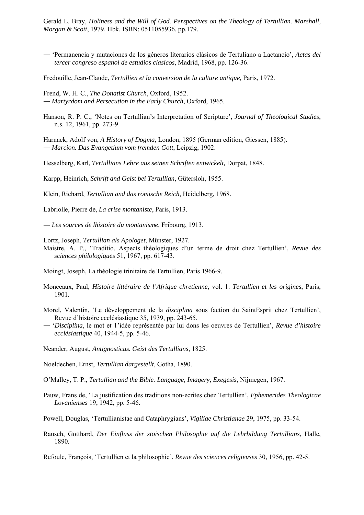Gerald L. Bray, *Holiness and the Will of God. Perspectives on the Theology of Tertullian. Marshall, Morgan & Scott*, 1979. Hbk. ISBN: 0511055936. pp.179.

― 'Permanencia y mutaciones de los géneros literarios clásicos de Tertuliano a Lactancio', *Actas del tercer congreso espanol de estudios clasicos*, Madrid, 1968, pp. 126-36.

Fredouille, Jean-Claude, *Tertullien et la conversion de la culture antique,* Paris, 1972.

Frend, W. H. C., *The Donatist Church*, Oxford, 1952. ― *Martyrdom and Persecution in the Early Church*, Oxford, 1965.

Hanson, R. P. C., 'Notes on Tertullian's Interpretation of Scripture', *Journal of Theological Studies*, n.s. 12, 1961, pp. 273-9.

Harnack, Adolf von, *A History of Dogma*, London, 1895 (German edition, Giessen, 1885). ― *Marcion. Das Evangetium vom fremden Gott*, Leipzig, 1902.

Hesselberg, Karl, *Tertullians Lehre aus seinen Schriften entwickelt,* Dorpat, 1848.

Karpp, Heinrich, *Schrift and Geist bei Tertullian*, Gütersloh, 1955.

Klein, Richard, *Tertullian and das römische Reich*, Heidelberg, 1968.

Labriolle, Pierre de, *La crise montaniste*, Paris, 1913.

― *Les sources de lhistoire du montanisme*, Fribourg, 1913.

Lortz, Joseph, *Tertullian als Apologet*, Münster, 1927.

Maistre, A. P., 'Traditio. Aspects théologiques d'un terme de droit chez Tertullien', *Revue des sciences philologiques* 51, 1967, pp. 617-43.

Moingt, Joseph, La théologie trinitaire de Tertullien, Paris 1966-9.

- Monceaux, Paul, *Histoire littéraire de l'Afrique chretienne*, vol. 1: *Tertullien et les origines*, Paris, 1901.
- Morel, Valentin, 'Le développement de la *disciplina* sous faction du SaintEsprit chez Tertullien', Revue d'histoire ecclésiastique 35, 1939, pp. 243-65.
- ― '*Disciplina*, le mot et 1'idée représentée par lui dons les oeuvres de Tertullien', *Revue d'histoire ecclésiastique* 40, 1944-5, pp. 5-46.

Neander, August, *Antignosticus. Geist des Tertullians*, 1825.

Noeldechen, Ernst, *Tertullian dargestellt*, Gotha, 1890.

O'Malley, T. P., *Tertullian and the Bible. Language, Imagery, Exegesis*, Nijmegen, 1967.

Pauw, Frans de, 'La justification des traditions non-ecrites chez Tertullien', *Ephemerides Theologicae Lovanienses* 19, 1942, pp. 5-46.

Powell, Douglas, 'Tertullianistae and Cataphrygians', *Vigiliae Christianae* 29, 1975, pp. 33-54.

Rausch, Gotthard, *Der Einfluss der stoischen Philosophie auf die Lehrbildung Tertullians*, Halle, 1890.

Refoule, François, 'Tertullien et la philosophie', *Revue des sciences religieuses* 30, 1956, pp. 42-5.